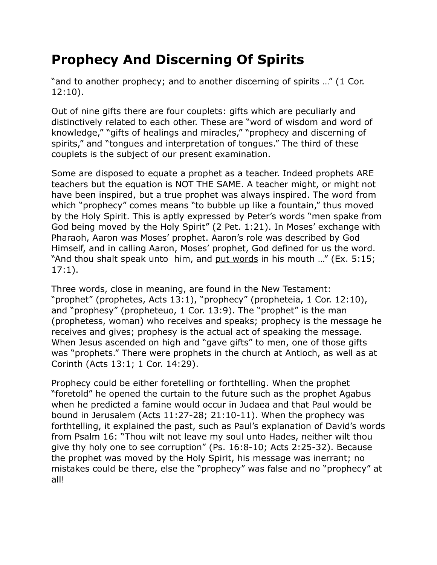## **Prophecy And Discerning Of Spirits**

"and to another prophecy; and to another discerning of spirits …" (1 Cor. 12:10).

Out of nine gifts there are four couplets: gifts which are peculiarly and distinctively related to each other. These are "word of wisdom and word of knowledge," "gifts of healings and miracles," "prophecy and discerning of spirits," and "tongues and interpretation of tongues." The third of these couplets is the subject of our present examination.

Some are disposed to equate a prophet as a teacher. Indeed prophets ARE teachers but the equation is NOT THE SAME. A teacher might, or might not have been inspired, but a true prophet was always inspired. The word from which "prophecy" comes means "to bubble up like a fountain," thus moved by the Holy Spirit. This is aptly expressed by Peter's words "men spake from God being moved by the Holy Spirit" (2 Pet. 1:21). In Moses' exchange with Pharaoh, Aaron was Moses' prophet. Aaron's role was described by God Himself, and in calling Aaron, Moses' prophet, God defined for us the word. "And thou shalt speak unto him, and put words in his mouth …" (Ex. 5:15; 17:1).

Three words, close in meaning, are found in the New Testament: "prophet" (prophetes, Acts 13:1), "prophecy" (propheteia, 1 Cor. 12:10), and "prophesy" (propheteuo, 1 Cor. 13:9). The "prophet" is the man (prophetess, woman) who receives and speaks; prophecy is the message he receives and gives; prophesy is the actual act of speaking the message. When Jesus ascended on high and "gave gifts" to men, one of those gifts was "prophets." There were prophets in the church at Antioch, as well as at Corinth (Acts 13:1; 1 Cor. 14:29).

Prophecy could be either foretelling or forthtelling. When the prophet "foretold" he opened the curtain to the future such as the prophet Agabus when he predicted a famine would occur in Judaea and that Paul would be bound in Jerusalem (Acts 11:27-28; 21:10-11). When the prophecy was forthtelling, it explained the past, such as Paul's explanation of David's words from Psalm 16: "Thou wilt not leave my soul unto Hades, neither wilt thou give thy holy one to see corruption" (Ps. 16:8-10; Acts 2:25-32). Because the prophet was moved by the Holy Spirit, his message was inerrant; no mistakes could be there, else the "prophecy" was false and no "prophecy" at all!